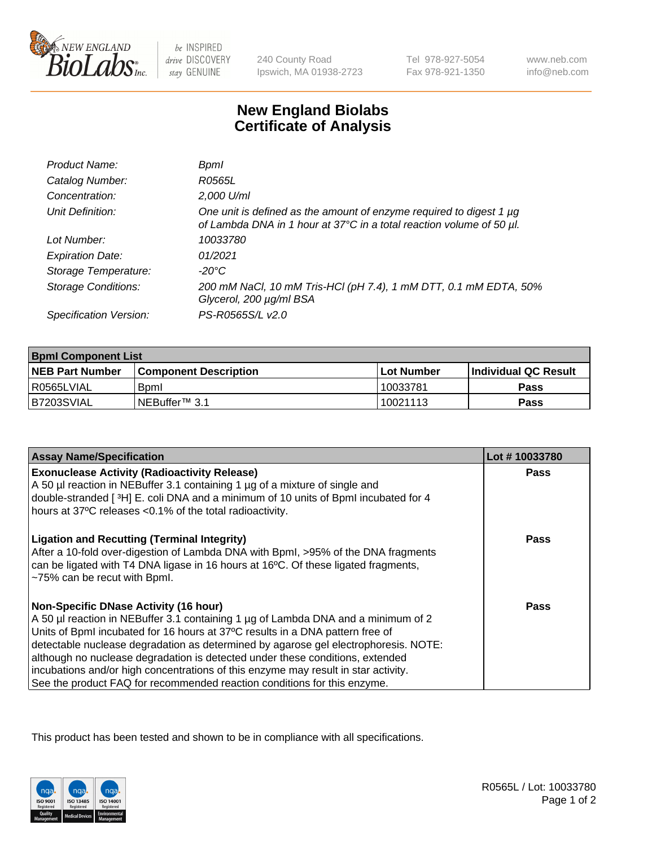

 $be$  INSPIRED drive DISCOVERY stay GENUINE

240 County Road Ipswich, MA 01938-2723 Tel 978-927-5054 Fax 978-921-1350

www.neb.com info@neb.com

## **New England Biolabs Certificate of Analysis**

| Product Name:              | Bpml                                                                                                                                             |
|----------------------------|--------------------------------------------------------------------------------------------------------------------------------------------------|
| Catalog Number:            | R0565L                                                                                                                                           |
| Concentration:             | 2,000 U/ml                                                                                                                                       |
| Unit Definition:           | One unit is defined as the amount of enzyme required to digest 1 $\mu$ g<br>of Lambda DNA in 1 hour at 37°C in a total reaction volume of 50 µl. |
| Lot Number:                | 10033780                                                                                                                                         |
| <b>Expiration Date:</b>    | 01/2021                                                                                                                                          |
| Storage Temperature:       | -20°C                                                                                                                                            |
| <b>Storage Conditions:</b> | 200 mM NaCl, 10 mM Tris-HCl (pH 7.4), 1 mM DTT, 0.1 mM EDTA, 50%<br>Glycerol, 200 µg/ml BSA                                                      |
| Specification Version:     | PS-R0565S/L v2.0                                                                                                                                 |

| <b>Bpml Component List</b> |                         |              |                             |  |
|----------------------------|-------------------------|--------------|-----------------------------|--|
| <b>NEB Part Number</b>     | l Component Description | l Lot Number | <b>Individual QC Result</b> |  |
| l R0565LVIAL               | <b>B</b> <sub>pm</sub>  | 10033781     | Pass                        |  |
| B7203SVIAL                 | INEBuffer™ 3.1          | 10021113     | Pass                        |  |

| <b>Assay Name/Specification</b>                                                                                                                                                                                                                                                                                                                                                                                                                                                                                                                              | Lot #10033780 |
|--------------------------------------------------------------------------------------------------------------------------------------------------------------------------------------------------------------------------------------------------------------------------------------------------------------------------------------------------------------------------------------------------------------------------------------------------------------------------------------------------------------------------------------------------------------|---------------|
| <b>Exonuclease Activity (Radioactivity Release)</b><br>A 50 µl reaction in NEBuffer 3.1 containing 1 µg of a mixture of single and                                                                                                                                                                                                                                                                                                                                                                                                                           | Pass          |
| double-stranded [3H] E. coli DNA and a minimum of 10 units of BpmI incubated for 4<br>hours at 37°C releases <0.1% of the total radioactivity.                                                                                                                                                                                                                                                                                                                                                                                                               |               |
| <b>Ligation and Recutting (Terminal Integrity)</b><br>After a 10-fold over-digestion of Lambda DNA with Bpml, >95% of the DNA fragments<br>can be ligated with T4 DNA ligase in 16 hours at 16°C. Of these ligated fragments,<br>~75% can be recut with Bpml.                                                                                                                                                                                                                                                                                                | Pass          |
| <b>Non-Specific DNase Activity (16 hour)</b><br>A 50 µl reaction in NEBuffer 3.1 containing 1 µg of Lambda DNA and a minimum of 2<br>Units of BpmI incubated for 16 hours at 37°C results in a DNA pattern free of<br>detectable nuclease degradation as determined by agarose gel electrophoresis. NOTE:<br>although no nuclease degradation is detected under these conditions, extended<br>incubations and/or high concentrations of this enzyme may result in star activity.<br>See the product FAQ for recommended reaction conditions for this enzyme. | Pass          |

This product has been tested and shown to be in compliance with all specifications.